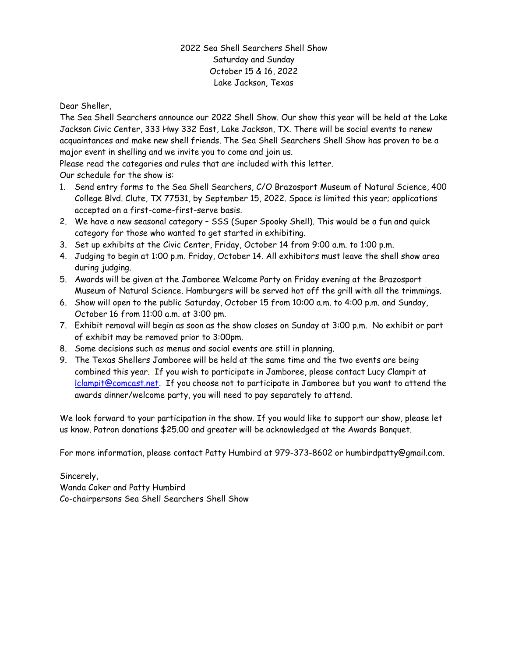## 2022 Sea Shell Searchers Shell Show Saturday and Sunday October 15 & 16, 2022 Lake Jackson, Texas

Dear Sheller,

The Sea Shell Searchers announce our 2022 Shell Show. Our show this year will be held at the Lake Jackson Civic Center, 333 Hwy 332 East, Lake Jackson, TX. There will be social events to renew acquaintances and make new shell friends. The Sea Shell Searchers Shell Show has proven to be a major event in shelling and we invite you to come and join us.

Please read the categories and rules that are included with this letter.

Our schedule for the show is:

- 1. Send entry forms to the Sea Shell Searchers, C/O Brazosport Museum of Natural Science, 400 College Blvd. Clute, TX 77531, by September 15, 2022. Space is limited this year; applications accepted on a first-come-first-serve basis.
- 2. We have a new seasonal category SSS (Super Spooky Shell). This would be a fun and quick category for those who wanted to get started in exhibiting.
- 3. Set up exhibits at the Civic Center, Friday, October 14 from 9:00 a.m. to 1:00 p.m.
- 4. Judging to begin at 1:00 p.m. Friday, October 14. All exhibitors must leave the shell show area during judging.
- 5. Awards will be given at the Jamboree Welcome Party on Friday evening at the Brazosport Museum of Natural Science. Hamburgers will be served hot off the grill with all the trimmings.
- 6. Show will open to the public Saturday, October 15 from 10:00 a.m. to 4:00 p.m. and Sunday, October 16 from 11:00 a.m. at 3:00 pm.
- 7. Exhibit removal will begin as soon as the show closes on Sunday at 3:00 p.m. No exhibit or part of exhibit may be removed prior to 3:00pm.
- 8. Some decisions such as menus and social events are still in planning.
- 9. The Texas Shellers Jamboree will be held at the same time and the two events are being combined this year. If you wish to participate in Jamboree, please contact Lucy Clampit at [lclampit@comcast.net.](mailto:lclampit@comcast.net) If you choose not to participate in Jamboree but you want to attend the awards dinner/welcome party, you will need to pay separately to attend.

We look forward to your participation in the show. If you would like to support our show, please let us know. Patron donations \$25.00 and greater will be acknowledged at the Awards Banquet.

For more information, please contact Patty Humbird at 979-373-8602 or humbirdpatty@gmail.com.

Sincerely, Wanda Coker and Patty Humbird Co-chairpersons Sea Shell Searchers Shell Show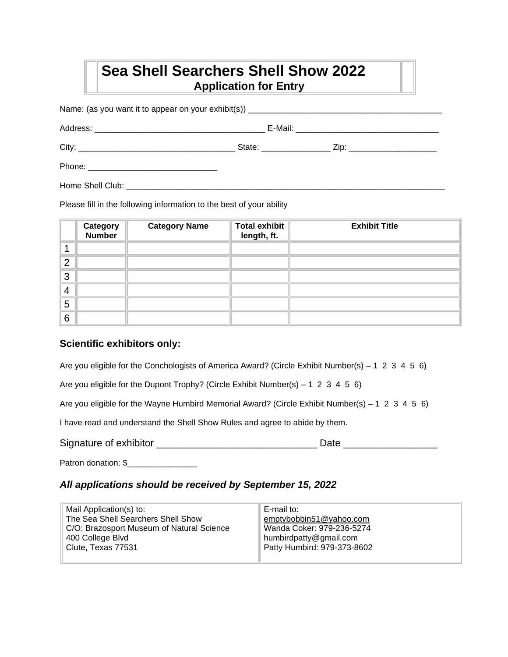# **Sea Shell Searchers Shell Show 2022 Application for Entry**

Name: (as you want it to appear on your exhibit(s)) \_\_\_\_\_\_\_\_\_\_\_\_\_\_\_\_\_\_\_\_\_\_\_\_\_\_\_\_\_\_\_\_\_\_\_\_\_\_\_\_\_\_ Address: \_\_\_\_\_\_\_\_\_\_\_\_\_\_\_\_\_\_\_\_\_\_\_\_\_\_\_\_\_\_\_\_\_\_\_\_\_ E-Mail: \_\_\_\_\_\_\_\_\_\_\_\_\_\_\_\_\_\_\_\_\_\_\_\_\_\_\_\_\_\_\_ City: \_\_\_\_\_\_\_\_\_\_\_\_\_\_\_\_\_\_\_\_\_\_\_\_\_\_\_\_\_\_\_\_\_\_ State: \_\_\_\_\_\_\_\_\_\_\_\_\_\_\_ Zip: \_\_\_\_\_\_\_\_\_\_\_\_\_\_\_\_\_\_\_ Phone: \_\_\_\_\_\_\_\_\_\_\_\_\_\_\_\_\_\_\_\_\_\_\_\_\_\_\_\_ Home Shell Club:  $\Box$ 

Please fill in the following information to the best of your ability

|                | <b>Category</b><br>Number | <b>Category Name</b> | <b>Total exhibit</b><br>length, ft. | <b>Exhibit Title</b> |
|----------------|---------------------------|----------------------|-------------------------------------|----------------------|
|                |                           |                      |                                     |                      |
| $\overline{2}$ |                           |                      |                                     |                      |
| 3              |                           |                      |                                     |                      |
| $\overline{4}$ |                           |                      |                                     |                      |
| 5              |                           |                      |                                     |                      |
| 6              |                           |                      |                                     |                      |

### **Scientific exhibitors only:**

Are you eligible for the Conchologists of America Award? (Circle Exhibit Number(s) – 1 2 3 4 5 6)

Are you eligible for the Dupont Trophy? (Circle Exhibit Number(s) – 1 2 3 4 5 6)

Are you eligible for the Wayne Humbird Memorial Award? (Circle Exhibit Number(s) – 1 2 3 4 5 6)

I have read and understand the Shell Show Rules and agree to abide by them.

Signature of exhibitor **Exhibition** and the state and the Date Date  $\Box$  Date  $\Box$ 

Patron donation: \$\_\_\_\_\_\_\_\_\_\_\_\_\_\_\_

### *All applications should be received by September 15, 2022*

| Mail Application(s) to:                   | E-mail to:                  |
|-------------------------------------------|-----------------------------|
| The Sea Shell Searchers Shell Show        | emptybobbin51@yahoo.com     |
| C/O: Brazosport Museum of Natural Science | Wanda Coker: 979-236-5274   |
| 400 College Blvd                          | humbirdpatty@gmail.com      |
| Clute, Texas 77531                        | Patty Humbird: 979-373-8602 |
|                                           |                             |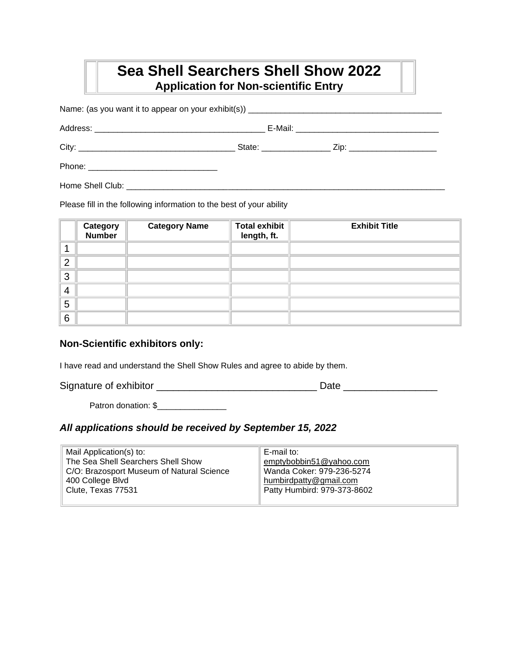# **Sea Shell Searchers Shell Show 2022 Application for Non-scientific Entry**

Name: (as you want it to appear on your exhibit(s)) \_\_\_\_\_\_\_\_\_\_\_\_\_\_\_\_\_\_\_\_\_\_\_\_\_\_\_\_\_\_\_\_\_\_\_\_\_\_\_\_\_\_ Address: \_\_\_\_\_\_\_\_\_\_\_\_\_\_\_\_\_\_\_\_\_\_\_\_\_\_\_\_\_\_\_\_\_\_\_\_\_ E-Mail: \_\_\_\_\_\_\_\_\_\_\_\_\_\_\_\_\_\_\_\_\_\_\_\_\_\_\_\_\_\_\_ City: \_\_\_\_\_\_\_\_\_\_\_\_\_\_\_\_\_\_\_\_\_\_\_\_\_\_\_\_\_\_\_\_\_\_ State: \_\_\_\_\_\_\_\_\_\_\_\_\_\_\_ Zip: \_\_\_\_\_\_\_\_\_\_\_\_\_\_\_\_\_\_\_ Phone: \_\_\_\_\_\_\_\_\_\_\_\_\_\_\_\_\_\_\_\_\_\_\_\_\_\_\_\_ Home Shell Club:  $\Box$ 

Please fill in the following information to the best of your ability

|                | <b>Category</b><br>Number | <b>Category Name</b> | <b>Total exhibit</b><br>length, ft. | <b>Exhibit Title</b> |
|----------------|---------------------------|----------------------|-------------------------------------|----------------------|
|                |                           |                      |                                     |                      |
| $\overline{2}$ |                           |                      |                                     |                      |
| 3              |                           |                      |                                     |                      |
| $\overline{4}$ |                           |                      |                                     |                      |
| 5              |                           |                      |                                     |                      |
| 6              |                           |                      |                                     |                      |

### **Non-Scientific exhibitors only:**

I have read and understand the Shell Show Rules and agree to abide by them.

Signature of exhibitor \_\_\_\_\_\_\_\_\_\_\_\_\_\_\_\_\_\_\_\_\_\_\_\_\_\_\_\_\_ Date \_\_\_\_\_\_\_\_\_\_\_\_\_\_\_\_\_

Patron donation: \$\_\_\_\_\_\_\_\_\_\_\_\_\_\_\_

#### *All applications should be received by September 15, 2022*

| Mail Application(s) to:                   | E-mail to:                  |
|-------------------------------------------|-----------------------------|
| The Sea Shell Searchers Shell Show        | emptybobbin51@yahoo.com     |
| C/O: Brazosport Museum of Natural Science | Wanda Coker: 979-236-5274   |
| 400 College Blvd                          | humbirdpatty@gmail.com      |
| Clute, Texas 77531                        | Patty Humbird: 979-373-8602 |
|                                           |                             |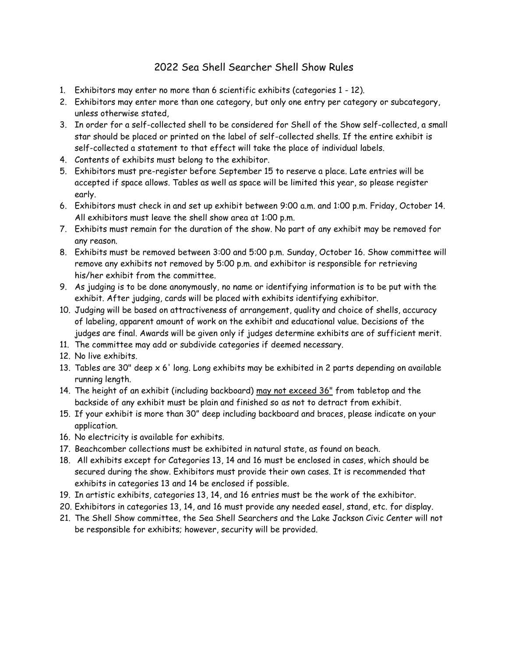## 2022 Sea Shell Searcher Shell Show Rules

- 1. Exhibitors may enter no more than 6 scientific exhibits (categories 1 12).
- 2. Exhibitors may enter more than one category, but only one entry per category or subcategory, unless otherwise stated,
- 3. In order for a self-collected shell to be considered for Shell of the Show self-collected, a small star should be placed or printed on the label of self-collected shells. If the entire exhibit is self-collected a statement to that effect will take the place of individual labels.
- 4. Contents of exhibits must belong to the exhibitor.
- 5. Exhibitors must pre-register before September 15 to reserve a place. Late entries will be accepted if space allows. Tables as well as space will be limited this year, so please register early.
- 6. Exhibitors must check in and set up exhibit between 9:00 a.m. and 1:00 p.m. Friday, October 14. All exhibitors must leave the shell show area at 1:00 p.m.
- 7. Exhibits must remain for the duration of the show. No part of any exhibit may be removed for any reason.
- 8. Exhibits must be removed between 3:00 and 5:00 p.m. Sunday, October 16. Show committee will remove any exhibits not removed by 5:00 p.m. and exhibitor is responsible for retrieving his/her exhibit from the committee.
- 9. As judging is to be done anonymously, no name or identifying information is to be put with the exhibit. After judging, cards will be placed with exhibits identifying exhibitor.
- 10. Judging will be based on attractiveness of arrangement, quality and choice of shells, accuracy of labeling, apparent amount of work on the exhibit and educational value. Decisions of the judges are final. Awards will be given only if judges determine exhibits are of sufficient merit.
- 11. The committee may add or subdivide categories if deemed necessary.
- 12. No live exhibits.
- 13. Tables are 30" deep x 6' long. Long exhibits may be exhibited in 2 parts depending on available running length.
- 14. The height of an exhibit (including backboard) may not exceed 36" from tabletop and the backside of any exhibit must be plain and finished so as not to detract from exhibit.
- 15. If your exhibit is more than 30" deep including backboard and braces, please indicate on your application.
- 16. No electricity is available for exhibits.
- 17. Beachcomber collections must be exhibited in natural state, as found on beach.
- 18. All exhibits except for Categories 13, 14 and 16 must be enclosed in cases, which should be secured during the show. Exhibitors must provide their own cases. It is recommended that exhibits in categories 13 and 14 be enclosed if possible.
- 19. In artistic exhibits, categories 13, 14, and 16 entries must be the work of the exhibitor.
- 20. Exhibitors in categories 13, 14, and 16 must provide any needed easel, stand, etc. for display.
- 21. The Shell Show committee, the Sea Shell Searchers and the Lake Jackson Civic Center will not be responsible for exhibits; however, security will be provided.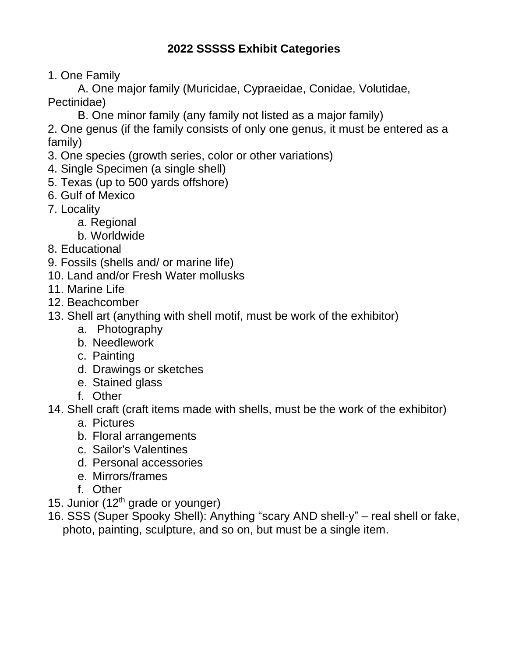# **2022 SSSSS Exhibit Categories**

1. One Family

A. One major family (Muricidae, Cypraeidae, Conidae, Volutidae, Pectinidae)

B. One minor family (any family not listed as a major family)

2. One genus (if the family consists of only one genus, it must be entered as a family)

- 3. One species (growth series, color or other variations)
- 4. Single Specimen (a single shell)
- 5. Texas (up to 500 yards offshore)
- 6. Gulf of Mexico
- 7. Locality
	- a. Regional
	- b. Worldwide
- 8. Educational
- 9. Fossils (shells and/ or marine life)
- 10. Land and/or Fresh Water mollusks
- 11. Marine Life
- 12. Beachcomber
- 13. Shell art (anything with shell motif, must be work of the exhibitor)
	- a. Photography
	- b. Needlework
	- c. Painting
	- d. Drawings or sketches
	- e. Stained glass
	- f. Other
- 14. Shell craft (craft items made with shells, must be the work of the exhibitor)
	- a. Pictures
	- b. Floral arrangements
	- c. Sailor's Valentines
	- d. Personal accessories
	- e. Mirrors/frames
	- f. Other
- 15. Junior (12<sup>th</sup> grade or younger)
- 16. SSS (Super Spooky Shell): Anything "scary AND shell-y" real shell or fake, photo, painting, sculpture, and so on, but must be a single item.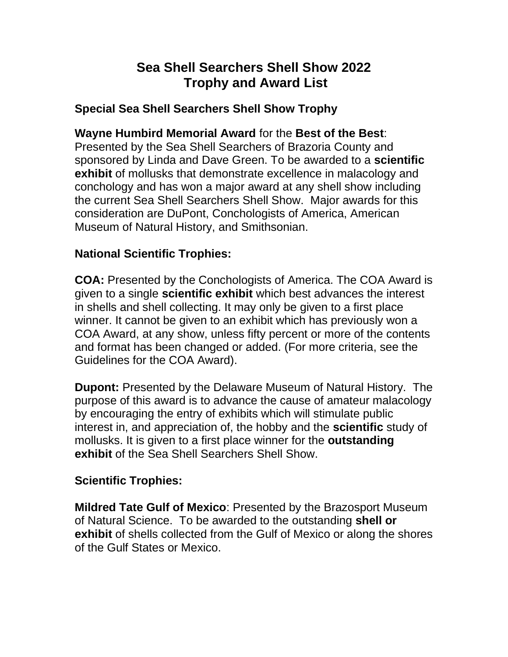# **Sea Shell Searchers Shell Show 2022 Trophy and Award List**

# **Special Sea Shell Searchers Shell Show Trophy**

## **Wayne Humbird Memorial Award** for the **Best of the Best**:

Presented by the Sea Shell Searchers of Brazoria County and sponsored by Linda and Dave Green. To be awarded to a **scientific exhibit** of mollusks that demonstrate excellence in malacology and conchology and has won a major award at any shell show including the current Sea Shell Searchers Shell Show. Major awards for this consideration are DuPont, Conchologists of America, American Museum of Natural History, and Smithsonian.

## **National Scientific Trophies:**

**COA:** Presented by the Conchologists of America. The COA Award is given to a single **scientific exhibit** which best advances the interest in shells and shell collecting. It may only be given to a first place winner. It cannot be given to an exhibit which has previously won a COA Award, at any show, unless fifty percent or more of the contents and format has been changed or added. (For more criteria, see the Guidelines for the COA Award).

**Dupont:** Presented by the Delaware Museum of Natural History. The purpose of this award is to advance the cause of amateur malacology by encouraging the entry of exhibits which will stimulate public interest in, and appreciation of, the hobby and the **scientific** study of mollusks. It is given to a first place winner for the **outstanding exhibit** of the Sea Shell Searchers Shell Show.

## **Scientific Trophies:**

**Mildred Tate Gulf of Mexico**: Presented by the Brazosport Museum of Natural Science. To be awarded to the outstanding **shell or exhibit** of shells collected from the Gulf of Mexico or along the shores of the Gulf States or Mexico.